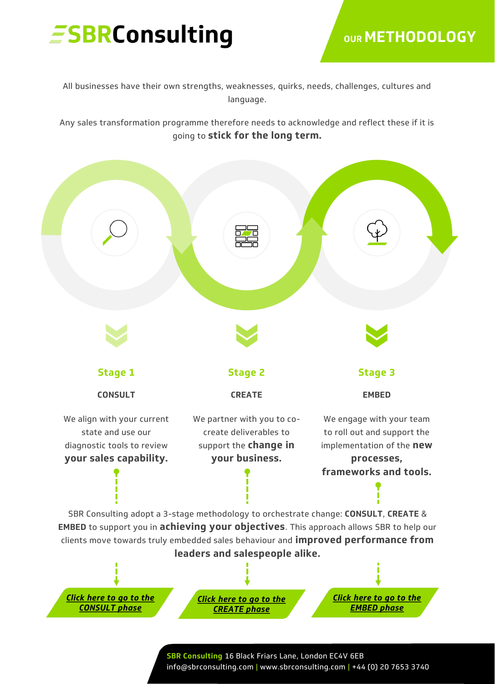# *ESBRConsulting*

### **OUR METHODOLOGY**

All businesses have their own strengths, weaknesses, quirks, needs, challenges, cultures and language.

Any sales transformation programme therefore needs to acknowledge and reflect these if it is going to **stick for the long term.**



*Click here to go to the [CONSULT phase](https://sbrconsulting.com/services/sales-consulting/)*

*Click here to go to the [CREATE phase](https://sbrconsulting.com/services/sales-creation/)*

*Click here to go to the [EMBED phase](https://sbrconsulting.com/services/sales-embedding/)*